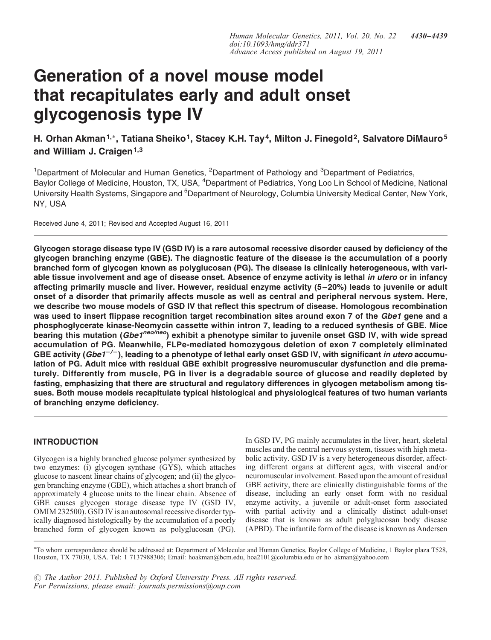# Generation of a novel mouse model that recapitulates early and adult onset glycogenosis type IV

H. Orhan Akman<sup>1,\*</sup>, Tatiana Sheiko<sup>1</sup>, Stacey K.H. Tay<sup>4</sup>, Milton J. Finegold<sup>2</sup>, Salvatore DiMauro<sup>5</sup> and William J. Craigen<sup>1,3</sup>

<sup>1</sup>Department of Molecular and Human Genetics, <sup>2</sup>Department of Pathology and <sup>3</sup>Department of Pediatrics, Baylor College of Medicine, Houston, TX, USA, <sup>4</sup>Department of Pediatrics, Yong Loo Lin School of Medicine, National University Health Systems, Singapore and <sup>5</sup>Department of Neurology, Columbia University Medical Center, New York, NY, USA

Received June 4, 2011; Revised and Accepted August 16, 2011

Glycogen storage disease type IV (GSD IV) is a rare autosomal recessive disorder caused by deficiency of the glycogen branching enzyme (GBE). The diagnostic feature of the disease is the accumulation of a poorly branched form of glycogen known as polyglucosan (PG). The disease is clinically heterogeneous, with variable tissue involvement and age of disease onset. Absence of enzyme activity is lethal in utero or in infancy affecting primarily muscle and liver. However, residual enzyme activity (5–20%) leads to juvenile or adult onset of a disorder that primarily affects muscle as well as central and peripheral nervous system. Here, we describe two mouse models of GSD IV that reflect this spectrum of disease. Homologous recombination was used to insert flippase recognition target recombination sites around exon 7 of the Gbe1 gene and a phosphoglycerate kinase-Neomycin cassette within intron 7, leading to a reduced synthesis of GBE. Mice bearing this mutation (*Gbe1<sup>neo/neo*) exhibit a phenotype similar to juvenile onset GSD IV, with wide spread</sup> accumulation of PG. Meanwhile, FLPe-mediated homozygous deletion of exon 7 completely eliminated GBE activity (Gbe1<sup>-/-</sup>), leading to a phenotype of lethal early onset GSD IV, with significant in utero accumulation of PG. Adult mice with residual GBE exhibit progressive neuromuscular dysfunction and die prematurely. Differently from muscle, PG in liver is a degradable source of glucose and readily depleted by fasting, emphasizing that there are structural and regulatory differences in glycogen metabolism among tissues. Both mouse models recapitulate typical histological and physiological features of two human variants of branching enzyme deficiency.

# INTRODUCTION

Glycogen is a highly branched glucose polymer synthesized by two enzymes: (i) glycogen synthase (GYS), which attaches glucose to nascent linear chains of glycogen; and (ii) the glycogen branching enzyme (GBE), which attaches a short branch of approximately 4 glucose units to the linear chain. Absence of GBE causes glycogen storage disease type IV (GSD IV, OMIM 232500). GSD IV is an autosomal recessive disorder typically diagnosed histologically by the accumulation of a poorly branched form of glycogen known as polyglucosan (PG).

In GSD IV, PG mainly accumulates in the liver, heart, skeletal muscles and the central nervous system, tissues with high metabolic activity. GSD IV is a very heterogeneous disorder, affecting different organs at different ages, with visceral and/or neuromuscular involvement. Based upon the amount of residual GBE activity, there are clinically distinguishable forms of the disease, including an early onset form with no residual enzyme activity, a juvenile or adult-onset form associated with partial activity and a clinically distinct adult-onset disease that is known as adult polyglucosan body disease (APBD). The infantile form of the disease is known as Andersen

∗ To whom correspondence should be addressed at: Department of Molecular and Human Genetics, Baylor College of Medicine, 1 Baylor plaza T528, Houston, TX 77030, USA. Tel: 1 7137988306; Email: hoakman@bcm.edu, hoa2101@columbia.edu or ho\_akman@yahoo.com

 $\odot$  The Author 2011. Published by Oxford University Press. All rights reserved. For Permissions, please email: journals.permissions@oup.com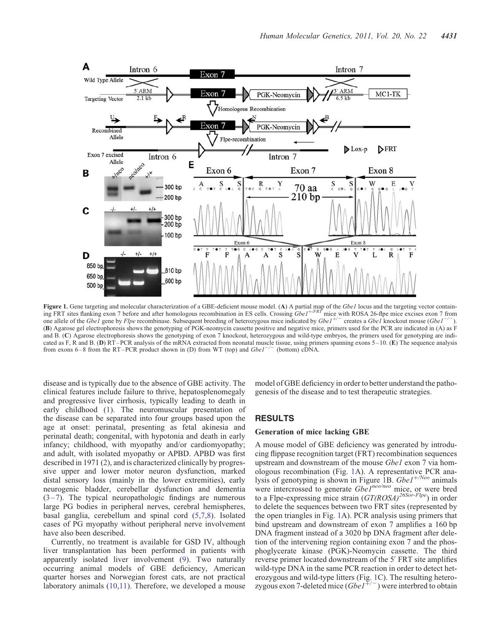<span id="page-1-0"></span>

**Figure 1.** Gene targeting and molecular characterization of a GBE-deficient mouse model. (A) A partial map of the *Gbe1* locus and the targeting vector contain-<br>ing FRT sites flanking exon 7 before and after homologous re one allele of the Gbe1 gene by Flpe recombinase. Subsequent breeding of heterozygous mice indicated by Gbe1<sup>+/2</sup> creates a Gbe1 knockout mouse (Gbe1<sup>2</sup>) (B) Agarose gel electrophoresis shows the genotyping of PGK-neomycin cassette positive and negative mice, primers used for the PCR are indicated in (A) as F and B. (C) Agarose electrophoresis shows the genotyping of exon 7 knockout, heterozygous and wild-type embryos, the primers used for genotyping are indicated as F, R and B. (D) RT–PCR analysis of the mRNA extracted from neonatal muscle tissue, using primers spanning exons 5 –10. (E) The sequence analysis from exons 6–8 from the RT–PCR product shown in (D) from WT (top) and  $Gbe1^{-/-}$  (bottom) cDNA.

disease and is typically due to the absence of GBE activity. The clinical features include failure to thrive, hepatosplenomegaly and progressive liver cirrhosis, typically leading to death in early childhood ([1\)](#page-8-0). The neuromuscular presentation of the disease can be separated into four groups based upon the age at onset: perinatal, presenting as fetal akinesia and perinatal death; congenital, with hypotonia and death in early infancy; childhood, with myopathy and/or cardiomyopathy; and adult, with isolated myopathy or APBD. APBD was first described in 1971 ([2\)](#page-8-0), and is characterized clinically by progressive upper and lower motor neuron dysfunction, marked distal sensory loss (mainly in the lower extremities), early neurogenic bladder, cerebellar dysfunction and dementia  $(3-7)$  $(3-7)$  $(3-7)$  $(3-7)$ . The typical neuropathologic findings are numerous large PG bodies in peripheral nerves, cerebral hemispheres, basal ganglia, cerebellum and spinal cord [\(5](#page-8-0),[7,8](#page-8-0)). Isolated cases of PG myopathy without peripheral nerve involvement have also been described.

Currently, no treatment is available for GSD IV, although liver transplantation has been performed in patients with apparently isolated liver involvement [\(9](#page-8-0)). Two naturally occurring animal models of GBE deficiency, American quarter horses and Norwegian forest cats, are not practical laboratory animals [\(10](#page-8-0),[11\)](#page-8-0). Therefore, we developed a mouse model of GBE deficiency in order to better understand the pathogenesis of the disease and to test therapeutic strategies.

# RESULTS

## Generation of mice lacking GBE

A mouse model of GBE deficiency was generated by introducing flippase recognition target (FRT) recombination sequences upstream and downstream of the mouse Gbe1 exon 7 via homologous recombination (Fig. 1A). A representative PCR analysis of genotyping is shown in Figure 1B.  $Gbe1^{+/Neo}$  animals were intercrossed to generate  $GbeI^{neo/neo}$  mice, or were bred to a Flpe-expressing mice strain  $(GT(ROSA)^{26Sor-Flpe})$  in order to delete the sequences between two FRT sites (represented by the open triangles in Fig. 1A). PCR analysis using primers that bind upstream and downstream of exon 7 amplifies a 160 bp DNA fragment instead of a 3020 bp DNA fragment after deletion of the intervening region containing exon 7 and the phosphoglycerate kinase (PGK)-Neomycin cassette. The third reverse primer located downstream of the 5′ FRT site amplifies wild-type DNA in the same PCR reaction in order to detect heterozygous and wild-type litters (Fig. 1C). The resulting heterozygous exon 7-deleted mice  $(Gbe1^{+/-})$  were interbred to obtain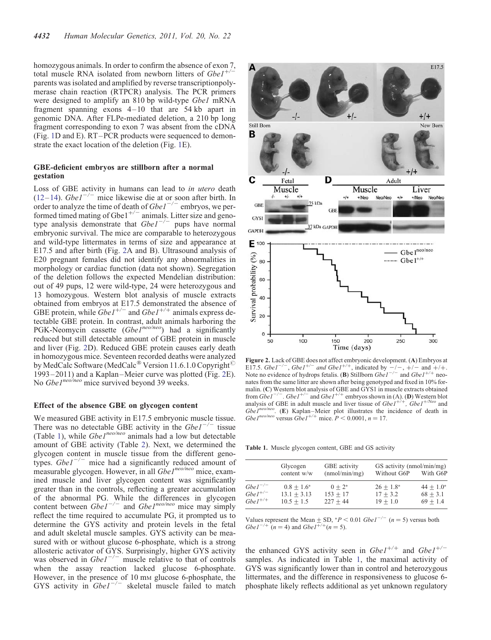<span id="page-2-0"></span>homozygous animals. In order to confirm the absence of exon 7, total muscle RNA isolated from newborn litters of  $Gbe1^{+/-}$ parents was isolated and amplified by reverse transcriptionpolymerase chain reaction (RTPCR) analysis. The PCR primers were designed to amplify an 810 bp wild-type Gbe1 mRNA fragment spanning exons  $4 - 10$  that are 54 kb apart in genomic DNA. After FLPe-mediated deletion, a 210 bp long fragment corresponding to exon 7 was absent from the cDNA (Fig. [1D](#page-1-0) and E). RT –PCR products were sequenced to demonstrate the exact location of the deletion (Fig. [1](#page-1-0)E).

## GBE-deficient embryos are stillborn after a normal gestation

Loss of GBE activity in humans can lead to in utero death [\(12](#page-8-0)–[14](#page-8-0)).  $Gbel^{-/-}$  mice likewise die at or soon after birth. In order to analyze the time of death of  $Gbe1^{-/-}$  embryos, we performed timed mating of Gbe $1^{+/-}$  animals. Litter size and genotype analysis demonstrate that  $Gbel^{-/-}$  pups have normal embryonic survival. The mice are comparable to heterozygous and wild-type littermates in terms of size and appearance at E17.5 and after birth (Fig. 2A and B). Ultrasound analysis of E20 pregnant females did not identify any abnormalities in morphology or cardiac function (data not shown). Segregation of the deletion follows the expected Mendelian distribution: out of 49 pups, 12 were wild-type, 24 were heterozygous and 13 homozygous. Western blot analysis of muscle extracts obtained from embryos at E17.5 demonstrated the absence of GBE protein, while  $Gbe1^{+/-}$  and  $Gbe1^{+/+}$  animals express detectable GBE protein. In contrast, adult animals harboring the PGK-Neomycin cassette  $(Gbe1^{neo/neo})$  had a significantly reduced but still detectable amount of GBE protein in muscle and liver (Fig. 2D). Reduced GBE protein causes early death in homozygous mice. Seventeen recorded deaths were analyzed by MedCalc Software (MedCalc<sup>®</sup> Version 11.6.1.0 Copyright<sup> $\odot$ </sup> 1993 – 2011) and a Kaplan –Meier curve was plotted (Fig. 2E). No Gbe1<sup>neo/neo</sup> mice survived beyond 39 weeks.

## Effect of the absence GBE on glycogen content

We measured GBE activity in E17.5 embryonic muscle tissue. There was no detectable GBE activity in the  $Gbel^{-/-}$  tissue (Table 1), while  $GbeI^{neo/neo}$  animals had a low but detectable amount of GBE activity (Table [2](#page-3-0)). Next, we determined the glycogen content in muscle tissue from the different genotypes.  $Gbe1^{-/-}$  mice had a significantly reduced amount of measurable glycogen. However, in all  $Gbe1^{neo/neo}$  mice, examined muscle and liver glycogen content was significantly greater than in the controls, reflecting a greater accumulation of the abnormal PG. While the differences in glycogen content between  $Gbe1^{-/-}$  and  $Gbe1^{neo/neo}$  mice may simply reflect the time required to accumulate PG, it prompted us to determine the GYS activity and protein levels in the fetal and adult skeletal muscle samples. GYS activity can be measured with or without glucose 6-phosphate, which is a strong allosteric activator of GYS. Surprisingly, higher GYS activity was observed in  $Gbe1^{-/-}$  muscle relative to that of controls when the assay reaction lacked glucose 6-phosphate. However, in the presence of 10 mm glucose 6-phosphate, the GYS activity in  $GbeI^{-/-}$  skeletal muscle failed to match



Figure 2. Lack of GBE does not affect embryonic development. (A) Embryos at E17.5.  $Gbe1^{-/-}$ ,  $Gbe1^{+/-}$  and  $Gbe1^{+/+}$ , indicated by  $-/-$ ,  $+/-$  and  $+/+$ .<br>Note no evidence of hydrops fetalis. (B) Stillborn  $Gbe1^{-/-}$  and  $Gbe1^{+/+}$  neonates from the same litter are shown after being genotyped and fixed in 10% formalin. (C) Western blot analysis of GBE and GYS1 in muscle extracts obtained from  $Gbel^{-/-}$ .  $Gbel^{+/-}$  and  $Gbel^{+/+}$  embryos shown in (A). (D) Western blot analysis of GBE in adult muscle and liver tissue of  $Gbe1^{+/+}$ ,  $Gbe1^{+/Neo}$  and  $GbeI<sup>neo/heo</sup>$ . (E) Kaplan–Meier plot illustrates the incidence of death in Gbe1<sup>neo/neo</sup> versus Gbe1<sup>+/+</sup> mice.  $P < 0.0001$ , n = 17.

Table 1. Muscle glycogen content, GBE and GS activity

|              | Glycogen<br>content w/w | <b>GBE</b> activity<br>(mmol/min/mg) | GS activity (nmol/min/mg)<br>Without G6P | With G6P     |
|--------------|-------------------------|--------------------------------------|------------------------------------------|--------------|
| $Gbel^{-/-}$ | $0.8 + 1.6^*$           | $0 + 2^*$                            | $26 + 1.8^*$                             | $44 + 1.0^*$ |
| $Gbel^{+/-}$ | $13.1 + 3.13$           | $153 + 17$                           | $17 + 3.2$                               | $68 + 3.1$   |
| $Gbel^{+/+}$ | $10.5 + 1.5$            | $227 + 44$                           | $19 + 1.0$                               | $69 + 1.4$   |

Values represent the Mean  $\pm$  SD,  $*P < 0.01$  Gbe1<sup>-/-</sup> (n = 5) versus both  $Gbel^{-/+}$  (*n* = 4) and  $Gbel^{+/+}(n = 5)$ .

the enhanced GYS activity seen in  $Gbe1^{+/+}$  and  $Gbe1^{+/-}$ samples. As indicated in Table 1, the maximal activity of GYS was significantly lower than in control and heterozygous littermates, and the difference in responsiveness to glucose 6 phosphate likely reflects additional as yet unknown regulatory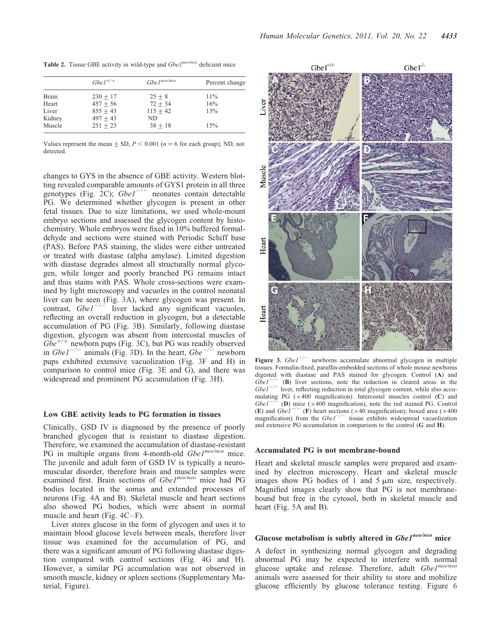|              | $GbeI^{+/+}$ | $Gbe1^{neo/neo}$ | Percent change |
|--------------|--------------|------------------|----------------|
| <b>Brain</b> | $230 + 17$   | $25 + 8$         | 11%            |
| Heart        | $457 + 56$   | $72 + 34$        | 16%            |
| Liver        | $855 + 43$   | $115 + 42$       | 13%            |
| Kidney       | $497 + 43$   | ND.              |                |
| Muscle       | $251 + 23$   | $38 + 18$        | 15%            |

<span id="page-3-0"></span>**Table 2.** Tissue GBE activity in wild-type and  $Gbe1^{neo/heo}$  deficient mice

Values represent the mean  $\pm$  SD,  $P < 0.001$  (n = 6 for each group); ND, not detected.

changes to GYS in the absence of GBE activity. Western blotting revealed comparable amounts of GYS1 protein in all three genotypes (Fig. [2](#page-2-0)C);  $Gbe1^{-/-}$  neonates contain detectable PG. We determined whether glycogen is present in other fetal tissues. Due to size limitations, we used whole-mount embryo sections and assessed the glycogen content by histochemistry. Whole embryos were fixed in 10% buffered formaldehyde and sections were stained with Periodic Schiff base (PAS). Before PAS staining, the slides were either untreated or treated with diastase (alpha amylase). Limited digestion with diastase degrades almost all structurally normal glycogen, while longer and poorly branched PG remains intact and thus stains with PAS. Whole cross-sections were examined by light microscopy and vacuoles in the control neonatal liver can be seen (Fig. 3A), where glycogen was present. In contrast,  $Gbe1^{-/-}$  liver lacked any significant vacuoles, reflecting an overall reduction in glycogen, but a detectable accumulation of PG (Fig. 3B). Similarly, following diastase digestion, glycogen was absent from intercostal muscles of  $Gbe^{+/+}$  newborn pups (Fig. 3C), but PG was readily observed in  $Gbe1^{-/-}$  animals (Fig. 3D). In the heart,  $Gbe^{-/-}$  newborn pups exhibited extensive vacuolization (Fig. 3F and H) in comparison to control mice (Fig. 3E and G), and there was widespread and prominent PG accumulation (Fig. 3H).

#### Low GBE activity leads to PG formation in tissues

Clinically, GSD IV is diagnosed by the presence of poorly branched glycogen that is resistant to diastase digestion. Therefore, we examined the accumulation of diastase-resistant PG in multiple organs from 4-month-old Gbe1<sup>neo/neo</sup> mice. The juvenile and adult form of GSD IV is typically a neuromuscular disorder, therefore brain and muscle samples were examined first. Brain sections of Gbe1<sup>neo/neo</sup> mice had PG bodies located in the somas and extended processes of neurons (Fig. [4](#page-4-0)A and B). Skeletal muscle and heart sections also showed PG bodies, which were absent in normal muscle and heart (Fig. [4C](#page-4-0)–F).

Liver stores glucose in the form of glycogen and uses it to maintain blood glucose levels between meals, therefore liver tissue was examined for the accumulation of PG, and there was a significant amount of PG following diastase digestion compared with control sections (Fig. [4](#page-4-0)G and H). However, a similar PG accumulation was not observed in smooth muscle, kidney or spleen sections [\(Supplementary Ma](http://hmg.oxfordjournals.org/lookup/suppl/doi:10.1093/hmg/ddr371/-/DC1)[terial, Figure\)](http://hmg.oxfordjournals.org/lookup/suppl/doi:10.1093/hmg/ddr371/-/DC1).



Figure 3.  $Gbel^{-/-}$  newborns accumulate abnormal glycogen in multiple tissues. Formalin-fixed, paraffin-embedded sections of whole mouse newborns digested with diastase and PAS stained for glycogen. Control (A) and  $Gbe1^{-/-}$  (B) liver sections, note the reduction in cleared areas in the  $(B)$  liver sections, note the reduction in cleared areas in the  $Gbel^{-/-}$  liver, reflecting reduction in total glycogen content, while also accumulating PG ( $\times$ 400 magnification). Intercostal muscles control (C) and *Gbe1<sup>-/-</sup>* (D) mice ( $\times$ 400 magnification), note the red stained PG. Control  $Gbe1^{-/-}$  (D) mice (×400 magnification), note the red stained PG. Control (E) and  $Gbe1^{-/-}$  (F) heart sections (×40 magnification); boxed area (×400 magnification) from the  $GbeI^{-/-}$  tissue exhibits widespread vacuolization and extensive PG accumulation in comparison to the control (G and H).

#### Accumulated PG is not membrane-bound

Heart and skeletal muscle samples were prepared and examined by electron microscopy. Heart and skeletal muscle images show PG bodies of 1 and 5  $\mu$ m size, respectively. Magnified images clearly show that PG is not membranebound but free in the cytosol, both in skeletal muscle and heart (Fig. [5A](#page-4-0) and B).

# Glucose metabolism is subtly altered in  $Gbe1^{neo/neo}$  mice

A defect in synthesizing normal glycogen and degrading abnormal PG may be expected to interfere with normal glucose uptake and release. Therefore, adult  $Gbe1^{neo/neo}$ animals were assessed for their ability to store and mobilize glucose efficiently by glucose tolerance testing. Figure [6](#page-4-0)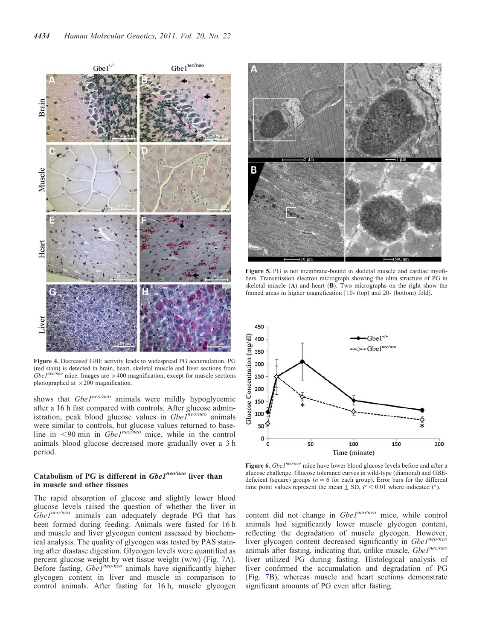<span id="page-4-0"></span>

Figure 4. Decreased GBE activity leads to widespread PG accumulation. PG (red stain) is detected in brain, heart, skeletal muscle and liver sections from  $GbeI^{neo/neo}$  mice. Images are  $\times$  400 magnification, except for muscle sections  $\frac{1}{20}$  mice. Images are  $\times$  400 magnification, except for muscle sections photographed at  $\times$  200 magnification.

shows that  $Gbe1^{neo/neo}$  animals were mildly hypoglycemic after a 16 h fast compared with controls. After glucose administration, peak blood glucose values in  $Gbe1^{neo/neo}$  animals were similar to controls, but glucose values returned to baseline in  $\leq 90$  min in Gbe1<sup>neo7neo</sup> mice, while in the control animals blood glucose decreased more gradually over a 3 h period.

# Catabolism of PG is different in  $GbeI^{neo/neo}$  liver than in muscle and other tissues

The rapid absorption of glucose and slightly lower blood glucose levels raised the question of whether the liver in  $Gbe1^{neo/heo}$  animals can adequately degrade PG that has been formed during feeding. Animals were fasted for 16 h and muscle and liver glycogen content assessed by biochemical analysis. The quality of glycogen was tested by PAS staining after diastase digestion. Glycogen levels were quantified as percent glucose weight by wet tissue weight  $(w/w)$  (Fig. [7A](#page-5-0)). Before fasting,  $GbeI^{neo/neo}$  animals have significantly higher glycogen content in liver and muscle in comparison to control animals. After fasting for 16 h, muscle glycogen



Figure 5. PG is not membrane-bound in skeletal muscle and cardiac myofibers. Transmission electron micrograph showing the ultra structure of PG in skeletal muscle  $(A)$  and heart  $(B)$ . Two micrographs on the right show the framed areas in higher magnification [10- (top) and 20- (bottom) fold].



Figure 6. Gbe1<sup>neo/neo</sup> mice have lower blood glucose levels before and after a glucose challenge. Glucose tolerance curves in wild-type (diamond) and GBEdeficient (square) groups ( $n = 6$  for each group). Error bars for the different time point values represent the mean  $\pm$  SD,  $P < 0.01$  where indicated (\*).

content did not change in  $Gbe1^{neo/neo}$  mice, while control animals had significantly lower muscle glycogen content, reflecting the degradation of muscle glycogen. However, liver glycogen content decreased significantly in Gbe1<sup>neo/neo</sup> animals after fasting, indicating that, unlike muscle,  $Gbe1^{neo/neo}$ liver utilized PG during fasting. Histological analysis of liver confirmed the accumulation and degradation of PG (Fig. [7B](#page-5-0)), whereas muscle and heart sections demonstrate significant amounts of PG even after fasting.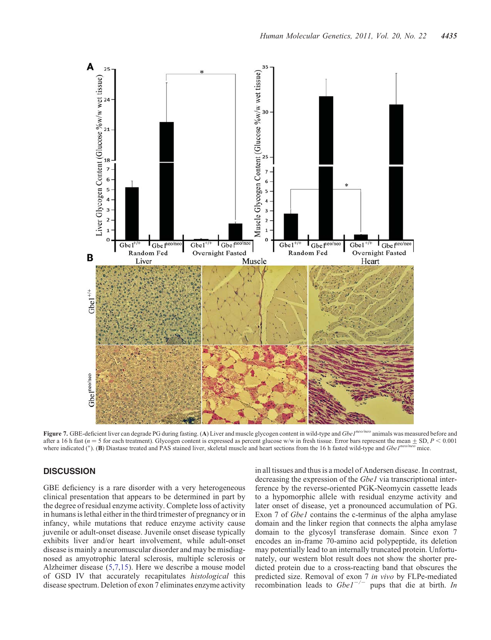<span id="page-5-0"></span>

Figure 7. GBE-deficient liver can degrade PG during fasting. (A) Liver and muscle glycogen content in wild-type and  $Gbe1^{neo/neo}$  animals was measured before and after a 16 h fast ( $n = 5$  for each treatment). Glycogen content is expressed as percent glucose w/w in fresh tissue. Error bars represent the mean  $\pm$  SD,  $P < 0.001$ where indicated (\*). (B) Diastase treated and PAS stained liver, skeletal muscle and heart sections from the 16 h fasted wild-type and Gbe1<sup>neo/neo</sup> mice.

# **DISCUSSION**

GBE deficiency is a rare disorder with a very heterogeneous clinical presentation that appears to be determined in part by the degree of residual enzyme activity. Complete loss of activity in humans is lethal either in the third trimester of pregnancy or in infancy, while mutations that reduce enzyme activity cause juvenile or adult-onset disease. Juvenile onset disease typically exhibits liver and/or heart involvement, while adult-onset disease is mainly a neuromuscular disorder and may be misdiagnosed as amyotrophic lateral sclerosis, multiple sclerosis or Alzheimer disease [\(5](#page-8-0),[7,15](#page-8-0)). Here we describe a mouse model of GSD IV that accurately recapitulates histological this disease spectrum. Deletion of exon 7 eliminates enzyme activity

in all tissues and thus is a model of Andersen disease. In contrast, decreasing the expression of the *Gbe1* via transcriptional interference by the reverse-oriented PGK-Neomycin cassette leads to a hypomorphic allele with residual enzyme activity and later onset of disease, yet a pronounced accumulation of PG. Exon 7 of *Gbe1* contains the c-terminus of the alpha amylase domain and the linker region that connects the alpha amylase domain to the glycosyl transferase domain. Since exon 7 encodes an in-frame 70-amino acid polypeptide, its deletion may potentially lead to an internally truncated protein. Unfortunately, our western blot result does not show the shorter predicted protein due to a cross-reacting band that obscures the predicted size. Removal of exon 7 in vivo by FLPe-mediated recombination leads to  $Gbel^{-/-}$  pups that die at birth. In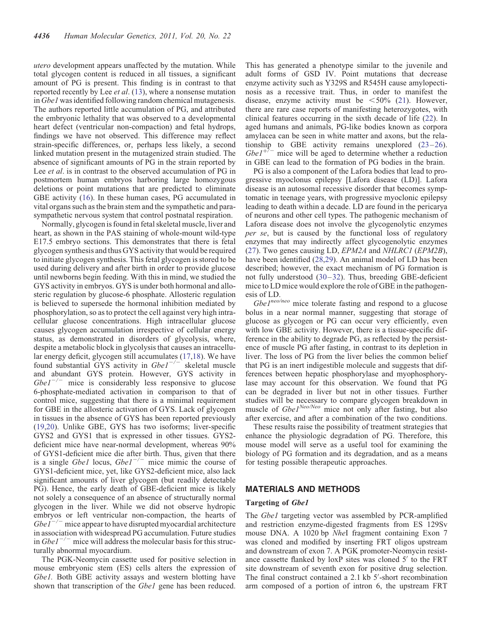utero development appears unaffected by the mutation. While total glycogen content is reduced in all tissues, a significant amount of PG is present. This finding is in contrast to that reported recently by Lee et al. ([13\)](#page-8-0), where a nonsense mutation in Gbe1 was identified following random chemical mutagenesis. The authors reported little accumulation of PG, and attributed the embryonic lethality that was observed to a developmental heart defect (ventricular non-compaction) and fetal hydrops, findings we have not observed. This difference may reflect strain-specific differences, or, perhaps less likely, a second linked mutation present in the mutagenized strain studied. The absence of significant amounts of PG in the strain reported by Lee *et al.* is in contrast to the observed accumulation of PG in postmortem human embryos harboring large homozygous deletions or point mutations that are predicted to eliminate GBE activity ([16\)](#page-8-0). In these human cases, PG accumulated in vital organs such as the brain stem and the sympathetic and parasympathetic nervous system that control postnatal respiration.

Normally, glycogen is found in fetal skeletal muscle, liver and heart, as shown in the PAS staining of whole-mount wild-type E17.5 embryo sections. This demonstrates that there is fetal glycogen synthesis and thus GYS activity that would be required to initiate glycogen synthesis. This fetal glycogen is stored to be used during delivery and after birth in order to provide glucose until newborns begin feeding. With this in mind, we studied the GYS activity in embryos. GYS is under both hormonal and allosteric regulation by glucose-6 phosphate. Allosteric regulation is believed to supersede the hormonal inhibition mediated by phosphorylation, so as to protect the cell against very high intracellular glucose concentrations. High intracellular glucose causes glycogen accumulation irrespective of cellular energy status, as demonstrated in disorders of glycolysis, where, despite a metabolic block in glycolysis that causes an intracellular energy deficit, glycogen still accumulates ([17,18](#page-8-0)). We have found substantial GYS activity in  $Gbe1^{-/-}$  skeletal muscle and abundant GYS protein. However, GYS activity in  $Gbe1^{-/-}$  mice is considerably less responsive to glucose 6-phosphate-mediated activation in comparison to that of control mice, suggesting that there is a minimal requirement for GBE in the allosteric activation of GYS. Lack of glycogen in tissues in the absence of GYS has been reported previously [\(19](#page-8-0),[20\)](#page-8-0). Unlike GBE, GYS has two isoforms; liver-specific GYS2 and GYS1 that is expressed in other tissues. GYS2 deficient mice have near-normal development, whereas 90% of GYS1-deficient mice die after birth. Thus, given that there is a single *Gbe1* locus, *Gbe1<sup>-/-</sup>* mice mimic the course of GYS1-deficient mice, yet, like GYS2-deficient mice, also lack significant amounts of liver glycogen (but readily detectable PG). Hence, the early death of GBE-deficient mice is likely not solely a consequence of an absence of structurally normal glycogen in the liver. While we did not observe hydropic embryos or left ventricular non-compaction, the hearts of  $GbeI^{-/-}$  mice appear to have disrupted myocardial architecture in association with widespread PG accumulation. Future studies in  $Gbe1^{-/-}$  mice will address the molecular basis for this structurally abnormal myocardium.

The PGK-Neomycin cassette used for positive selection in mouse embryonic stem (ES) cells alters the expression of Gbe1. Both GBE activity assays and western blotting have shown that transcription of the *Gbe1* gene has been reduced.

This has generated a phenotype similar to the juvenile and adult forms of GSD IV. Point mutations that decrease enzyme activity such as Y329S and R545H cause amylopectinosis as a recessive trait. Thus, in order to manifest the disease, enzyme activity must be  $<50\%$  ([21\)](#page-8-0). However, there are rare case reports of manifesting heterozygotes, with clinical features occurring in the sixth decade of life [\(22](#page-8-0)). In aged humans and animals, PG-like bodies known as corpora amylacea can be seen in white matter and axons, but the relationship to GBE activity remains unexplored [\(23](#page-8-0)–[26](#page-9-0)).  $Gbel^{+7-}$  mice will be aged to determine whether a reduction in GBE can lead to the formation of PG bodies in the brain.

PG is also a component of the Lafora bodies that lead to progressive myoclonus epilepsy [Lafora disease (LD)]. Lafora disease is an autosomal recessive disorder that becomes symptomatic in teenage years, with progressive myoclonic epilepsy leading to death within a decade. LD are found in the pericarya of neurons and other cell types. The pathogenic mechanism of Lafora disease does not involve the glycogenolytic enzymes per se, but is caused by the functional loss of regulatory enzymes that may indirectly affect glycogenolytic enzymes [\(27](#page-9-0)). Two genes causing LD, EPM2A and NHLRC1 (EPM2B), have been identified ([28,29](#page-9-0)). An animal model of LD has been described; however, the exact mechanism of PG formation is not fully understood ([30](#page-9-0)–[32\)](#page-9-0). Thus, breeding GBE-deficient mice to LD mice would explore the role of GBE in the pathogenesis of LD.

 $Gbe1^{neo/heo}$  mice tolerate fasting and respond to a glucose bolus in a near normal manner, suggesting that storage of glucose as glycogen or PG can occur very efficiently, even with low GBE activity. However, there is a tissue-specific difference in the ability to degrade PG, as reflected by the persistence of muscle PG after fasting, in contrast to its depletion in liver. The loss of PG from the liver belies the common belief that PG is an inert indigestible molecule and suggests that differences between hepatic phosphorylase and myophosphorylase may account for this observation. We found that PG can be degraded in liver but not in other tissues. Further studies will be necessary to compare glycogen breakdown in muscle of  $Gbe1^{Neo/Neo}$  mice not only after fasting, but also after exercise, and after a combination of the two conditions.

These results raise the possibility of treatment strategies that enhance the physiologic degradation of PG. Therefore, this mouse model will serve as a useful tool for examining the biology of PG formation and its degradation, and as a means for testing possible therapeutic approaches.

# MATERIALS AND METHODS

#### Targeting of Gbe1

The *Gbe1* targeting vector was assembled by PCR-amplified and restriction enzyme-digested fragments from ES 129Sv mouse DNA. A 1020 bp NheI fragment containing Exon 7 was cloned and modified by inserting FRT oligos upstream and downstream of exon 7. A PGK promoter-Neomycin resistance cassette flanked by loxP sites was cloned 5′ to the FRT site downstream of seventh exon for positive drug selection. The final construct contained a 2.1 kb 5′ -short recombination arm composed of a portion of intron 6, the upstream FRT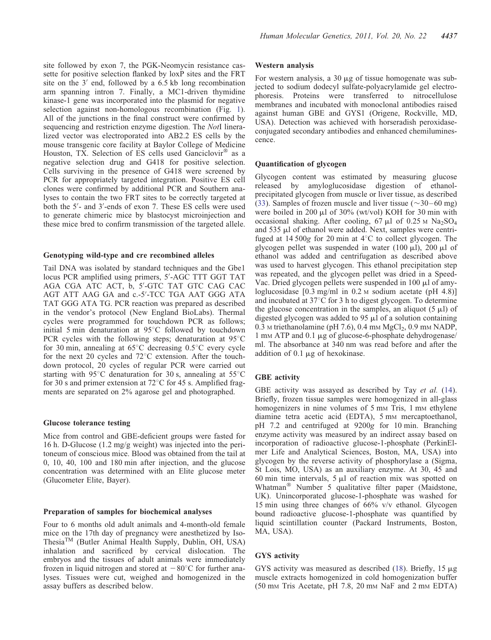site followed by exon 7, the PGK-Neomycin resistance cassette for positive selection flanked by loxP sites and the FRT site on the 3′ end, followed by a 6.5 kb long recombination arm spanning intron 7. Finally, a MC1-driven thymidine kinase-1 gene was incorporated into the plasmid for negative selection against non-homologous recombination (Fig. [1](#page-1-0)). All of the junctions in the final construct were confirmed by sequencing and restriction enzyme digestion. The NotI lineralized vector was electroporated into AB2.2 ES cells by the mouse transgenic core facility at Baylor College of Medicine Houston,  $T\overline{X}$ . Selection of ES cells used Ganciclovir<sup>®</sup> as a negative selection drug and G418 for positive selection. Cells surviving in the presence of G418 were screened by PCR for appropriately targeted integration. Positive ES cell clones were confirmed by additional PCR and Southern analyses to contain the two FRT sites to be correctly targeted at both the 5′ - and 3′ -ends of exon 7. These ES cells were used to generate chimeric mice by blastocyst microinjection and these mice bred to confirm transmission of the targeted allele.

#### Genotyping wild-type and cre recombined alleles

Tail DNA was isolated by standard techniques and the Gbe1 locus PCR amplified using primers, 5′ -AGC TTT GGT TAT AGA CGA ATC ACT, b, 5′ -GTC TAT GTC CAG CAC AGT ATT AAG GA and c.-5′ -TCC TGA AAT GGG ATA TAT GGG ATA TG. PCR reaction was prepared as described in the vendor's protocol (New England BioLabs). Thermal cycles were programmed for touchdown PCR as follows; initial 5 min denaturation at  $95^{\circ}$ C followed by touchdown PCR cycles with the following steps; denaturation at  $95^{\circ}$ C for 30 min, annealing at  $65^{\circ}$ C decreasing 0.5°C every cycle for the next 20 cycles and  $72^{\circ}$ C extension. After the touchdown protocol, 20 cycles of regular PCR were carried out starting with 95 $\degree$ C denaturation for 30 s, annealing at 55 $\degree$ C for 30 s and primer extension at 72 $\mathrm{^{\circ}C}$  for 45 s. Amplified fragments are separated on 2% agarose gel and photographed.

#### Glucose tolerance testing

Mice from control and GBE-deficient groups were fasted for 16 h. D-Glucose (1.2 mg/g weight) was injected into the peritoneum of conscious mice. Blood was obtained from the tail at 0, 10, 40, 100 and 180 min after injection, and the glucose concentration was determined with an Elite glucose meter (Glucometer Elite, Bayer).

## Preparation of samples for biochemical analyses

Four to 6 months old adult animals and 4-month-old female mice on the 17th day of pregnancy were anesthetized by Iso-Thesia<sup>TM</sup> (Butler Animal Health Supply, Dublin, OH, USA) inhalation and sacrificed by cervical dislocation. The embryos and the tissues of adult animals were immediately frozen in liquid nitrogen and stored at  $-80^{\circ}$ C for further analyses. Tissues were cut, weighed and homogenized in the assay buffers as described below.

#### Western analysis

For western analysis, a  $30 \mu g$  of tissue homogenate was subjected to sodium dodecyl sulfate-polyacrylamide gel electrophoresis. Proteins were transferred to nitrocellulose membranes and incubated with monoclonal antibodies raised against human GBE and GYS1 (Origene, Rockville, MD, USA). Detection was achieved with horseradish peroxidaseconjugated secondary antibodies and enhanced chemiluminescence.

# Quantification of glycogen

Glycogen content was estimated by measuring glucose released by amyloglucosidase digestion of ethanolprecipitated glycogen from muscle or liver tissue, as described [\(33](#page-9-0)). Samples of frozen muscle and liver tissue ( $\sim$ 30–60 mg) were boiled in 200  $\mu$ l of 30% (wt/vol) KOH for 30 min with occasional shaking. After cooling, 67  $\mu$ l of 0.25 M Na<sub>2</sub>SO<sub>4</sub> and  $535 \mu l$  of ethanol were added. Next, samples were centrifuged at 14 500g for 20 min at  $4^{\circ}$ C to collect glycogen. The glycogen pellet was suspended in water (100  $\mu$ l), 200  $\mu$ l of ethanol was added and centrifugation as described above was used to harvest glycogen. This ethanol precipitation step was repeated, and the glycogen pellet was dried in a Speed-Vac. Dried glycogen pellets were suspended in  $100 \mu l$  of amyloglucosidase [0.3 mg/ml in 0.2 <sup>M</sup> sodium acetate (pH 4.8)] and incubated at  $37^{\circ}$ C for 3 h to digest glycogen. To determine the glucose concentration in the samples, an aliquot  $(5 \mu I)$  of digested glycogen was added to 95 ml of a solution containing 0.3 M triethanolamine (pH 7.6), 0.4 mM  $MgCl<sub>2</sub>$ , 0.9 mM NADP, 1 mm ATP and 0.1 µg of glucose-6-phosphate dehydrogenase/ ml. The absorbance at 340 nm was read before and after the addition of  $0.1 \mu g$  of hexokinase.

## GBE activity

GBE activity was assayed as described by Tay et al. [\(14](#page-8-0)). Briefly, frozen tissue samples were homogenized in all-glass homogenizers in nine volumes of 5 mm Tris, 1 mm ethylene diamine tetra acetic acid (EDTA), 5 mm mercaptoethanol, pH 7.2 and centrifuged at 9200g for 10 min. Branching enzyme activity was measured by an indirect assay based on incorporation of radioactive glucose-1-phosphate (PerkinElmer Life and Analytical Sciences, Boston, MA, USA) into glycogen by the reverse activity of phosphorylase a (Sigma, St Lois, MO, USA) as an auxiliary enzyme. At 30, 45 and 60 min time intervals,  $5 \mu l$  of reaction mix was spotted on Whatman<sup>w</sup> Number 5 qualitative filter paper (Maidstone, UK). Unincorporated glucose-1-phosphate was washed for 15 min using three changes of 66% v/v ethanol. Glycogen bound radioactive glucose-1-phosphate was quantified by liquid scintillation counter (Packard Instruments, Boston, MA, USA).

#### GYS activity

GYS activity was measured as described  $(18)$  $(18)$ . Briefly, 15  $\mu$ g muscle extracts homogenized in cold homogenization buffer  $(50 \text{ mm}$  Tris Acetate, pH 7.8, 20 mm NaF and 2 mm EDTA)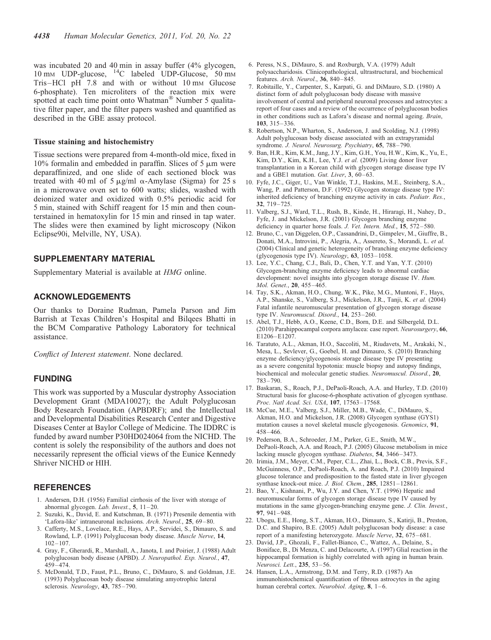<span id="page-8-0"></span>was incubated 20 and 40 min in assay buffer (4% glycogen,  $10 \text{ mm}$  UDP-glucose,  $^{14}$ C labeled UDP-Glucose,  $50 \text{ mm}$ Tris-HCl pH 7.8 and with or without 10 mm Glucose 6-phosphate). Ten microliters of the reaction mix were spotted at each time point onto Whatman<sup>®</sup> Number 5 qualitative filter paper, and the filter papers washed and quantified as described in the GBE assay protocol.

## Tissue staining and histochemistry

Tissue sections were prepared from 4-month-old mice, fixed in 10% formalin and embedded in paraffin. Slices of 5  $\mu$ m were deparaffinized, and one slide of each sectioned block was treated with 40 ml of 5  $\mu$ g/ml  $\alpha$ -Amylase (Sigma) for 25 s in a microwave oven set to 600 watts; slides, washed with deionized water and oxidized with 0.5% periodic acid for 5 min, stained with Schiff reagent for 15 min and then counterstained in hematoxylin for 15 min and rinsed in tap water. The slides were then examined by light microscopy (Nikon Eclipse90i, Melville, NY, USA).

# SUPPLEMENTARY MATERIAL

[Supplementary Material is available at](http://hmg.oxfordjournals.org/lookup/suppl/doi:10.1093/hmg/ddr371/-/DC1) HMG online.

# ACKNOWLEDGEMENTS

Our thanks to Doraine Rudman, Pamela Parson and Jim Barrish at Texas Children's Hospital and Bilqees Bhatti in the BCM Comparative Pathology Laboratory for technical assistance.

Conflict of Interest statement. None declared.

#### FUNDING

This work was supported by a Muscular dystrophy Association Development Grant (MDA10027); the Adult Polyglucosan Body Research Foundation (APBDRF); and the Intellectual and Developmental Disabilities Research Center and Digestive Diseases Center at Baylor College of Medicine. The IDDRC is funded by award number P30HD024064 from the NICHD. The content is solely the responsibility of the authors and does not necessarily represent the official views of the Eunice Kennedy Shriver NICHD or HIH.

## **REFERENCES**

- 1. Andersen, D.H. (1956) Familial cirrhosis of the liver with storage of abnormal glycogen. Lab. Invest., 5, 11-20.
- Suzuki, K., David, E. and Kutschman, B. (1971) Presenile dementia with 'Lafora-like' intraneuronal inclusions. Arch. Neurol., 25, 69–80.
- 3. Cafferty, M.S., Lovelace, R.E., Hays, A.P., Servidei, S., Dimauro, S. and Rowland, L.P. (1991) Polyglucosan body disease. Muscle Nerve, 14,  $102 - 107$ .
- 4. Gray, F., Gherardi, R., Marshall, A., Janota, I. and Poirier, J. (1988) Adult polyglucosan body disease (APBD). J. Neuropathol. Exp. Neurol., 47, 459– 474.
- 5. McDonald, T.D., Faust, P.L., Bruno, C., DiMauro, S. and Goldman, J.E. (1993) Polyglucosan body disease simulating amyotrophic lateral sclerosis. Neurology, 43, 785-790.
- 6. Peress, N.S., DiMauro, S. and Roxburgh, V.A. (1979) Adult polysaccharidosis. Clinicopathological, ultrastructural, and biochemical features. Arch. Neurol.,  $36, 840 - 845$ .
- 7. Robitaille, Y., Carpenter, S., Karpati, G. and DiMauro, S.D. (1980) A distinct form of adult polyglucosan body disease with massive involvement of central and peripheral neuronal processes and astrocytes: a report of four cases and a review of the occurrence of polyglucosan bodies in other conditions such as Lafora's disease and normal ageing. Brain, 103, 315–336.
- 8. Robertson, N.P., Wharton, S., Anderson, J. and Scolding, N.J. (1998) Adult polyglucosan body disease associated with an extrapyramidal syndrome. J. Neurol. Neurosurg. Psychiatry, 65, 788-790.
- 9. Ban, H.R., Kim, K.M., Jang, J.Y., Kim, G.H., You, H.W., Kim, K., Yu, E., Kim, D.Y., Kim, K.H., Lee, Y.J. et al. (2009) Living donor liver transplantation in a Korean child with glycogen storage disease type IV and a GBE1 mutation. Gut. Liver, 3, 60-63.
- 10. Fyfe, J.C., Giger, U., Van Winkle, T.J., Haskins, M.E., Steinberg, S.A., Wang, P. and Patterson, D.F. (1992) Glycogen storage disease type IV: inherited deficiency of branching enzyme activity in cats. Pediatr. Res., 32, 719–725.
- 11. Valberg, S.J., Ward, T.L., Rush, B., Kinde, H., Hiraragi, H., Nahey, D., Fyfe, J. and Mickelson, J.R. (2001) Glycogen branching enzyme deficiency in quarter horse foals. J. Vet. Intern. Med., 15, 572-580.
- 12. Bruno, C., van Diggelen, O.P., Cassandrini, D., Gimpelev, M., Giuffre, B., Donati, M.A., Introvini, P., Alegria, A., Assereto, S., Morandi, L. et al. (2004) Clinical and genetic heterogeneity of branching enzyme deficiency (glycogenosis type IV). Neurology, 63, 1053–1058.
- 13. Lee, Y.C., Chang, C.J., Bali, D., Chen, Y.T. and Yan, Y.T. (2010) Glycogen-branching enzyme deficiency leads to abnormal cardiac development: novel insights into glycogen storage disease IV. Hum. Mol. Genet., 20, 455-465.
- 14. Tay, S.K., Akman, H.O., Chung, W.K., Pike, M.G., Muntoni, F., Hays, A.P., Shanske, S., Valberg, S.J., Mickelson, J.R., Tanji, K. et al. (2004) Fatal infantile neuromuscular presentation of glycogen storage disease type IV. Neuromuscul. Disord., 14, 253–260.
- 15. Abel, T.J., Hebb, A.O., Keene, C.D., Born, D.E. and Silbergeld, D.L. (2010) Parahippocampal corpora amylacea: case report. Neurosurgery, 66, E1206–E1207.
- 16. Taratuto, A.L., Akman, H.O., Saccoliti, M., Riudavets, M., Arakaki, N., Mesa, L., Sevlever, G., Goebel, H. and Dimauro, S. (2010) Branching enzyme deficiency/glycogenosis storage disease type IV presenting as a severe congenital hypotonia: muscle biopsy and autopsy findings, biochemical and molecular genetic studies. Neuromuscul. Disord., 20, 783–790.
- 17. Baskaran, S., Roach, P.J., DePaoli-Roach, A.A. and Hurley, T.D. (2010) Structural basis for glucose-6-phosphate activation of glycogen synthase. Proc. Natl Acad. Sci. USA, 107, 17563–17568.
- 18. McCue, M.E., Valberg, S.J., Miller, M.B., Wade, C., DiMauro, S., Akman, H.O. and Mickelson, J.R. (2008) Glycogen synthase (GYS1) mutation causes a novel skeletal muscle glycogenosis. Genomics, 91, 458–466.
- 19. Pederson, B.A., Schroeder, J.M., Parker, G.E., Smith, M.W., DePaoli-Roach, A.A. and Roach, P.J. (2005) Glucose metabolism in mice lacking muscle glycogen synthase. Diabetes, 54, 3466–3473.
- 20. Irimia, J.M., Meyer, C.M., Peper, C.L., Zhai, L., Bock, C.B., Previs, S.F., McGuinness, O.P., DePaoli-Roach, A. and Roach, P.J. (2010) Impaired glucose tolerance and predisposition to the fasted state in liver glycogen synthase knock-out mice. J. Biol. Chem., 285, 12851–12861.
- 21. Bao, Y., Kishnani, P., Wu, J.Y. and Chen, Y.T. (1996) Hepatic and neuromuscular forms of glycogen storage disease type IV caused by mutations in the same glycogen-branching enzyme gene. J. Clin. Invest., 97, 941–948.
- 22. Ubogu, E.E., Hong, S.T., Akman, H.O., Dimauro, S., Katirji, B., Preston, D.C. and Shapiro, B.E. (2005) Adult polyglucosan body disease: a case report of a manifesting heterozygote. Muscle Nerve, 32, 675-681.
- 23. David, J.P., Ghozali, F., Fallet-Bianco, C., Wattez, A., Delaine, S., Boniface, B., Di Menza, C. and Delacourte, A. (1997) Glial reaction in the hippocampal formation is highly correlated with aging in human brain. Neurosci. Lett., 235, 53-56.
- 24. Hansen, L.A., Armstrong, D.M. and Terry, R.D. (1987) An immunohistochemical quantification of fibrous astrocytes in the aging human cerebral cortex. Neurobiol. Aging, 8, 1-6.